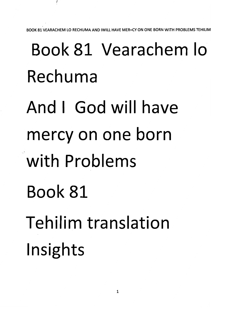*BOOK81 VEARACHEM LO RECHUMA AND IWILL HAVE MER=CY ON ONE BORN WITH PROBLEMSTEHILIM*

## Book 81 Vearachem lo Rechuma And I God will have mercy on one born with Problems Book 81 Tehilim translation Insights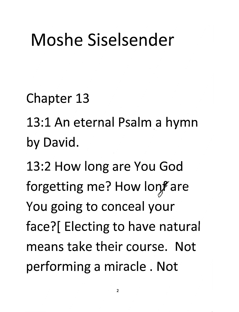## Moshe Siselsender

Chapter 13

13:1 An eternal Psalm a hymn by David.

13:2 How long are You God forgetting me? How lonf are You going to conceal your face?[ Electing to have natura means take their course. Not performing a miracle . Not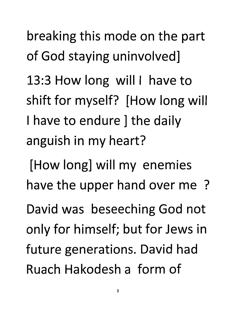breaking this mode on the part of God staying uninvolved] 13:3 How long will I have to shift for myself? [How long will I have to endure I the daily anguish in my heart?

[How long] will my enemies have the upper hand over me ? David was beseeching God not only for himself; but for Jews in future generations. David had Ruach Hakodesh a form of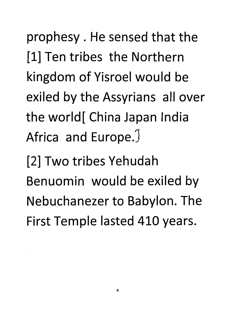prophesy . He sensed that the [1] Ten tribes the Northern kingdom of Yisroel would be exiled by the Assyrians all over the world[ China Japan India Africa and Europe.<sup>J</sup>

[2] Two tribes Yehudah Benuomin would be exiled by Nebuchanezer to Babylon. The First Temple lasted 410 years.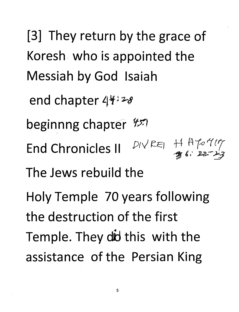[3] They return by the grace of Koresh who is appointed the Messiah by God Isaiah end chapter  $44428$ beginnng chapter *\ts* End Chronicles II  $P(VRE)$   $\frac{HHPOHP}{B}$ The Jews rebuild the Holy Temple 70 years following the destruction of the first Temple. They did this with the assistance of the Persian King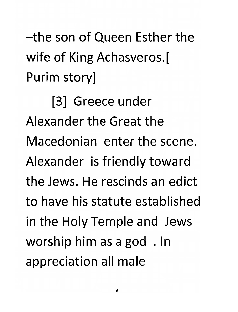-the son of Queen Esther the wife of King Achasveros.[ Purim story]

[3] Greece under Alexander the Great the Macedonian enter the scene. Alexander is friendly toward the Jews. He rescinds an edict to have his statute established in the Holy Temple and Jews worship him as a god . In appreciation all male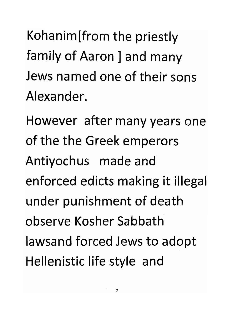Kohanim[from the priestly family of Aaron ] and many Jews named one of their sons Alexander.

However after many years one of the the Greek emperors Antiyochus made and enforced edicts making it illegal under punishment of death observe Kosher Sabbath lawsand forced Jews to adopt Hellenistic life style and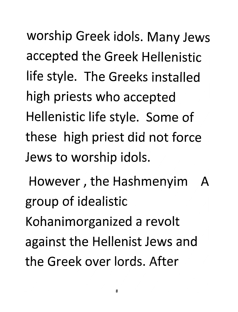worship Greek idols. Many Jews accepted the Greek Hellenistic life style. The Greeks installed high priests who accepted Hellenistic life style. Some of these high priest did not force Jews to worship idols.

However, the Hashmenyim A group of idealistic Kohanimorganized a revolt against the Hellenist Jews and the Greek over lords. After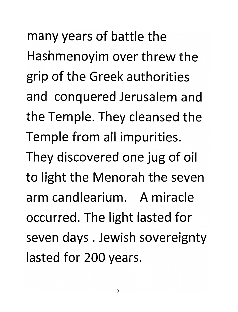many years of battle the Hashmenoyim over threw the grip of the Greek authorities and conquered Jerusalem and the Temple. They cleansed the Temple from all impurities. They discovered one jug of oil to light the Menorah the seven arm candlearium. A miracle occurred. The light lasted for seven days . Jewish sovereignty lasted for 200 years.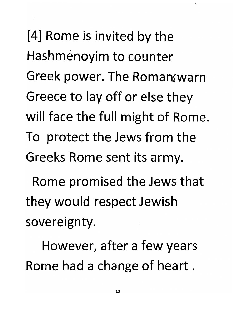[4] Rome is invited by the Hashmenoyim to counter Greek power. The Roman warn Greece to lay off or else they will face the full might of Rome. To protect the Jews from the Greeks Rome sent its army.

Rome promised the Jews that they would respect Jewish sovereignty.

However, after a few years Rome had a change of heart.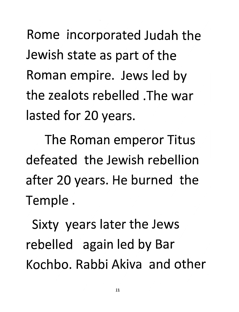Rome incorporated Judah the Jewish state as part of the Roman empire. Jews led by the zealots rebelled .The war lasted for 20 years.

The Roman emperor Titus defeated the Jewish rebellion after 20 years. He burned the Temple.

Sixty years later the Jews rebelled again led by Bar Kochbo. Rabbi Akiva and other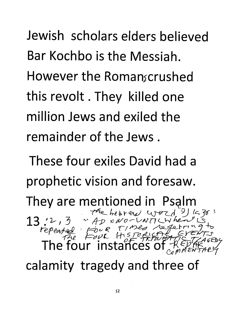Jewish scholars elders believed Bar Kochbo is the Messiah. However the Roman scrushed this revolt. They killed one million Jews and exiled the remainder of the Jews .

These four exiles David had a prophetic vision and foresaw. They are mentioned in Psalm<br>13 '2, 3 " Ap x No-V W T (Werel  $13.2.3$   $7.6$   $7.2$ <br>
The four instances of  $\frac{7}{12}$ <br>
The four instance  $~^{\circ}$  AD  $\frac{0}{0}$ calamity tragedy and three of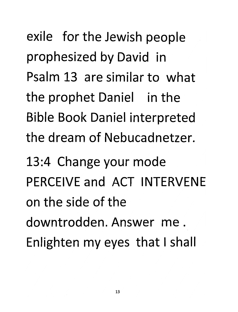exile for the Jewish people prophesized by David in Psalm 13 are similar to what the prophet Daniel in the Bible Book Daniel interpreted the dream of Nebucadnetzer.

13:4 Change your mode PERCEIVE and ACT INTERVENE on the side of the downtrodden. Answer me. Enlighten my eyes that Ishall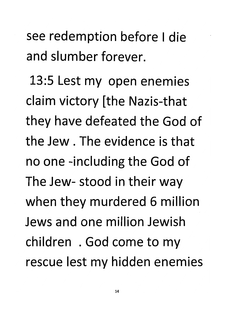see redemption before I die and slumber forever.

13:5 Lest my open enemies claim victory [the Nazis-that they have defeated the God of the Jew . The evidence is that no one -including the God of The Jew- stood in their way when they murdered 6 million Jews and one million Jewish children . God come to my rescue lest my hidden enemies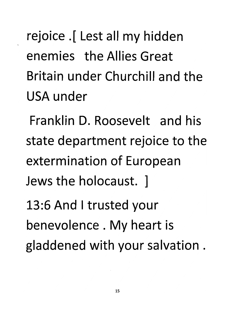rejoice .[ Lest all my hidden enemies the Allies Great Britain under Churchill and the USA under

Franklin D. Roosevelt and his state department rejoice to the extermination of European Jews the holocaust. ]

13:6 And Itrusted your benevolence . My heart is gladdened with your salvation .